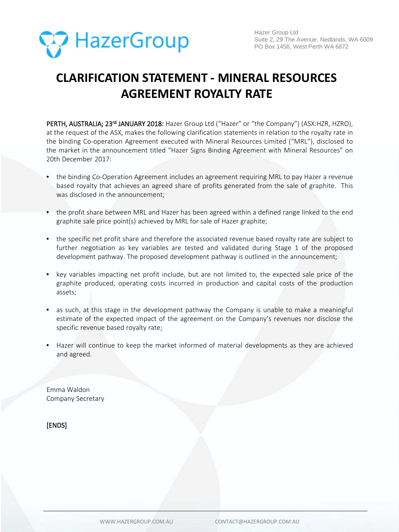

## **CLARIFICATION STATEMENT - MINERAL RESOURCES AGREEMENT ROYALTY RATE**

PERTH, AUSTRALIA; 23<sup>rd</sup> JANUARY 2018: Hazer Group Ltd ("Hazer" or "the Company") (ASX:HZR, HZRO), at the request of the ASX, makes the following clarification statements in relation to the royalty rate in the binding Co-operation Agreement executed with Mineral Resources Limited ("MRL"), disclosed to the market in the announcement titled "Hazer Signs Binding Agreement with Mineral Resources" on 20th December 2017:

- the binding Co-Operation Agreement includes an agreement requiring MRL to pay Hazer a revenue based royalty that achieves an agreed share of profits generated from the sale of graphite. This was disclosed in the announcement;
- the profit share between MRL and Hazer has been agreed within a defined range linked to the end graphite sale price point(s) achieved by MRL for sale of Hazer graphite;
- the specific net profit share and therefore the associated revenue based royalty rate are subject to further negotiation as key variables are tested and validated during Stage 1 of the proposed development pathway. The proposed development pathway is outlined in the announcement;
- key variables impacting net profit include, but are not limited to, the expected sale price of the graphite produced, operating costs incurred in production and capital costs of the production assets;
- as such, at this stage in the development pathway the Company is unable to make a meaningful estimate of the expected impact of the agreement on the Company's revenues nor disclose the specific revenue based royalty rate;
- Hazer will continue to keep the market informed of material developments as they are achieved and agreed.

Emma Waldon Company Secretary

[ENDS]